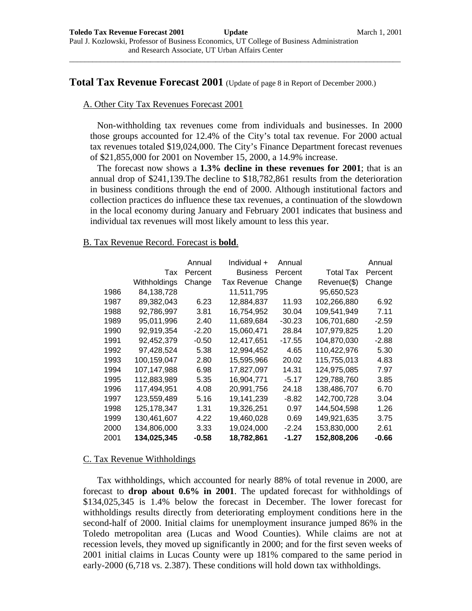\_\_\_\_\_\_\_\_\_\_\_\_\_\_\_\_\_\_\_\_\_\_\_\_\_\_\_\_\_\_\_\_\_\_\_\_\_\_\_\_\_\_\_\_\_\_\_\_\_\_\_\_\_\_\_\_\_\_\_\_\_\_\_\_\_\_\_\_\_\_\_\_\_\_\_\_\_\_\_\_\_\_\_\_\_\_

# **Total Tax Revenue Forecast 2001** (Update of page 8 in Report of December 2000.)

## A. Other City Tax Revenues Forecast 2001

Non-withholding tax revenues come from individuals and businesses. In 2000 those groups accounted for 12.4% of the City's total tax revenue. For 2000 actual tax revenues totaled \$19,024,000. The City's Finance Department forecast revenues of \$21,855,000 for 2001 on November 15, 2000, a 14.9% increase.

The forecast now shows a **1.3% decline in these revenues for 2001**; that is an annual drop of \$241,139.The decline to \$18,782,861 results from the deterioration in business conditions through the end of 2000. Although institutional factors and collection practices do influence these tax revenues, a continuation of the slowdown in the local economy during January and February 2001 indicates that business and individual tax revenues will most likely amount to less this year.

### B. Tax Revenue Record. Forecast is **bold**.

|      |              | Annual  | Individual +       | Annual   |                  | Annual  |
|------|--------------|---------|--------------------|----------|------------------|---------|
|      | Tax          | Percent | <b>Business</b>    | Percent  | <b>Total Tax</b> | Percent |
|      | Withholdings | Change  | <b>Tax Revenue</b> | Change   | Revenue(\$)      | Change  |
| 1986 | 84.138.728   |         | 11.511.795         |          | 95.650.523       |         |
| 1987 | 89,382,043   | 6.23    | 12,884,837         | 11.93    | 102,266,880      | 6.92    |
| 1988 | 92.786.997   | 3.81    | 16.754.952         | 30.04    | 109.541.949      | 7.11    |
| 1989 | 95,011,996   | 2.40    | 11,689,684         | $-30.23$ | 106,701,680      | $-2.59$ |
| 1990 | 92,919,354   | $-2.20$ | 15.060.471         | 28.84    | 107.979.825      | 1.20    |
| 1991 | 92,452,379   | -0.50   | 12,417,651         | -17.55   | 104,870,030      | -2.88   |
| 1992 | 97.428.524   | 5.38    | 12.994.452         | 4.65     | 110,422,976      | 5.30    |
| 1993 | 100,159,047  | 2.80    | 15,595,966         | 20.02    | 115,755,013      | 4.83    |
| 1994 | 107,147,988  | 6.98    | 17,827,097         | 14.31    | 124,975,085      | 7.97    |
| 1995 | 112,883,989  | 5.35    | 16.904.771         | $-5.17$  | 129,788,760      | 3.85    |
| 1996 | 117,494,951  | 4.08    | 20,991,756         | 24.18    | 138,486,707      | 6.70    |
| 1997 | 123,559,489  | 5.16    | 19,141,239         | -8.82    | 142,700,728      | 3.04    |
| 1998 | 125.178.347  | 1.31    | 19.326.251         | 0.97     | 144.504.598      | 1.26    |
| 1999 | 130,461,607  | 4.22    | 19,460,028         | 0.69     | 149,921,635      | 3.75    |
| 2000 | 134,806,000  | 3.33    | 19,024,000         | $-2.24$  | 153,830,000      | 2.61    |
| 2001 | 134,025,345  | $-0.58$ | 18,782,861         | $-1.27$  | 152,808,206      | $-0.66$ |

#### C. Tax Revenue Withholdings

Tax withholdings, which accounted for nearly 88% of total revenue in 2000, are forecast to **drop about 0.6% in 2001**. The updated forecast for withholdings of \$134,025,345 is 1.4% below the forecast in December. The lower forecast for withholdings results directly from deteriorating employment conditions here in the second-half of 2000. Initial claims for unemployment insurance jumped 86% in the Toledo metropolitan area (Lucas and Wood Counties). While claims are not at recession levels, they moved up significantly in 2000; and for the first seven weeks of 2001 initial claims in Lucas County were up 181% compared to the same period in early-2000 (6,718 vs. 2.387). These conditions will hold down tax withholdings.